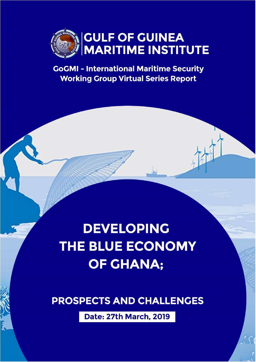

**GoGMI - International Maritime Security Working Group Virtual Series Report** 

# **DEVELOPING** THE BLUE ECONOMY **OF GHANA:**

**PROSPECTS AND CHALLENGES** 

**Date: 27th March, 2019**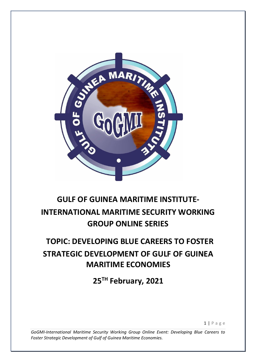

# **GULF OF GUINEA MARITIME INSTITUTE-INTERNATIONAL MARITIME SECURITY WORKING GROUP ONLINE SERIES**

# **TOPIC: DEVELOPING BLUE CAREERS TO FOSTER STRATEGIC DEVELOPMENT OF GULF OF GUINEA MARITIME ECONOMIES**

**25TH February, 2021** 

1 | P a g e

*GoGMI-International Maritime Security Working Group Online Event: Developing Blue Careers to Foster Strategic Development of Gulf of Guinea Maritime Economies.*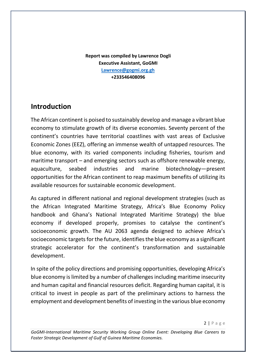**Report was compiled by Lawrence Dogli Executive Assistant, GoGMI Lawrence@gogmi.org.gh +233546408096**

# **Introduction**

The African continent is poised to sustainably develop and manage a vibrant blue economy to stimulate growth of its diverse economies. Seventy percent of the continent's countries have territorial coastlines with vast areas of Exclusive Economic Zones (EEZ), offering an immense wealth of untapped resources. The blue economy, with its varied components including fisheries, tourism and maritime transport – and emerging sectors such as offshore renewable energy, aquaculture, seabed industries and marine biotechnology—present opportunities for the African continent to reap maximum benefits of utilizing its available resources for sustainable economic development.

As captured in different national and regional development strategies (such as the African Integrated Maritime Strategy, Africa's Blue Economy Policy handbook and Ghana's National Integrated Maritime Strategy) the blue economy if developed properly, promises to catalyse the continent's socioeconomic growth. The AU 2063 agenda designed to achieve Africa's socioeconomic targets for the future, identifies the blue economy as a significant strategic accelerator for the continent's transformation and sustainable development.

In spite of the policy directions and promising opportunities, developing Africa's blue economy is limited by a number of challenges including maritime insecurity and human capital and financial resources deficit. Regarding human capital, it is critical to invest in people as part of the preliminary actions to harness the employment and development benefits of investing in the various blue economy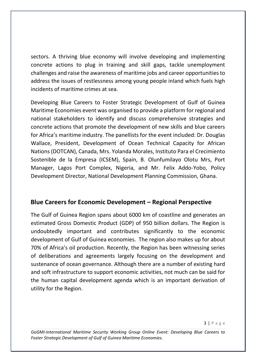sectors. A thriving blue economy will involve developing and implementing concrete actions to plug in training and skill gaps, tackle unemployment challenges and raise the awareness of maritime jobs and career opportunities to address the issues of restlessness among young people inland which fuels high incidents of maritime crimes at sea.

Developing Blue Careers to Foster Strategic Development of Gulf of Guinea Maritime Economies event was organised to provide a platform for regional and national stakeholders to identify and discuss comprehensive strategies and concrete actions that promote the development of new skills and blue careers for Africa's maritime industry. The panellists for the event included: Dr. Douglas Wallace, President, Development of Ocean Technical Capacity for African Nations (DOTCAN), Canada, Mrs. Yolanda Morales, Instituto Para el Crecimiento Sostenible de la Empresa (ICSEM), Spain, B. Olunfumilayo Olotu Mrs, Port Manager, Lagos Port Complex, Nigeria, and Mr. Felix Addo-Yobo, Policy Development Director, National Development Planning Commission, Ghana.

#### **Blue Careers for Economic Development – Regional Perspective**

The Gulf of Guinea Region spans about 6000 km of coastline and generates an estimated Gross Domestic Product (GDP) of 950 billion dollars. The Region is undoubtedly important and contributes significantly to the economic development of Gulf of Guinea economies. The region also makes up for about 70% of Africa's oil production. Recently, the Region has been witnessing series of deliberations and agreements largely focusing on the development and sustenance of ocean governance. Although there are a number of existing hard and soft infrastructure to support economic activities, not much can be said for the human capital development agenda which is an important derivation of utility for the Region.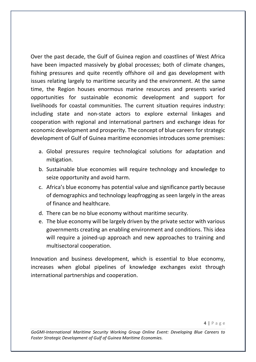Over the past decade, the Gulf of Guinea region and coastlines of West Africa have been impacted massively by global processes; both of climate changes, fishing pressures and quite recently offshore oil and gas development with issues relating largely to maritime security and the environment. At the same time, the Region houses enormous marine resources and presents varied opportunities for sustainable economic development and support for livelihoods for coastal communities. The current situation requires industry: including state and non-state actors to explore external linkages and cooperation with regional and international partners and exchange ideas for economic development and prosperity. The concept of blue careers for strategic development of Gulf of Guinea maritime economies introduces some premises:

- a. Global pressures require technological solutions for adaptation and mitigation.
- b. Sustainable blue economies will require technology and knowledge to seize opportunity and avoid harm.
- c. Africa's blue economy has potential value and significance partly because of demographics and technology leapfrogging as seen largely in the areas of finance and healthcare.
- d. There can be no blue economy without maritime security.
- e. The blue economy will be largely driven by the private sector with various governments creating an enabling environment and conditions. This idea will require a joined-up approach and new approaches to training and multisectoral cooperation.

Innovation and business development, which is essential to blue economy, increases when global pipelines of knowledge exchanges exist through international partnerships and cooperation.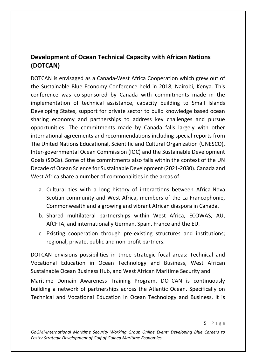# **Development of Ocean Technical Capacity with African Nations (DOTCAN)**

DOTCAN is envisaged as a Canada-West Africa Cooperation which grew out of the Sustainable Blue Economy Conference held in 2018, Nairobi, Kenya. This conference was co-sponsored by Canada with commitments made in the implementation of technical assistance, capacity building to Small Islands Developing States, support for private sector to build knowledge based ocean sharing economy and partnerships to address key challenges and pursue opportunities. The commitments made by Canada falls largely with other international agreements and recommendations including special reports from The United Nations Educational, Scientific and Cultural Organization (UNESCO), Inter-governmental Ocean Commission (IOC) and the Sustainable Development Goals (SDGs). Some of the commitments also falls within the context of the UN Decade of Ocean Science for Sustainable Development (2021-2030). Canada and West Africa share a number of commonalities in the areas of:

- a. Cultural ties with a long history of interactions between Africa-Nova Scotian community and West Africa, members of the La Francophonie, Commonwealth and a growing and vibrant African diaspora in Canada.
- b. Shared multilateral partnerships within West Africa, ECOWAS, AU, AfCFTA, and internationally German, Spain, France and the EU.
- c. Existing cooperation through pre-existing structures and institutions; regional, private, public and non-profit partners.

DOTCAN envisions possibilities in three strategic focal areas: Technical and Vocational Education in Ocean Technology and Business, West African Sustainable Ocean Business Hub, and West African Maritime Security and

Maritime Domain Awareness Training Program. DOTCAN is continuously building a network of partnerships across the Atlantic Ocean. Specifically on Technical and Vocational Education in Ocean Technology and Business, it is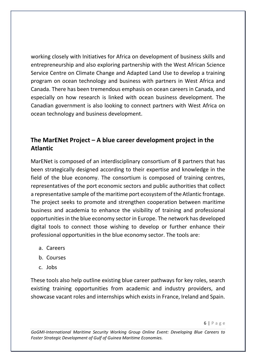working closely with Initiatives for Africa on development of business skills and entrepreneurship and also exploring partnership with the West African Science Service Centre on Climate Change and Adapted Land Use to develop a training program on ocean technology and business with partners in West Africa and Canada. There has been tremendous emphasis on ocean careers in Canada, and especially on how research is linked with ocean business development. The Canadian government is also looking to connect partners with West Africa on ocean technology and business development.

## **The MarENet Project – A blue career development project in the Atlantic**

MarENet is composed of an interdisciplinary consortium of 8 partners that has been strategically designed according to their expertise and knowledge in the field of the blue economy. The consortium is composed of training centres, representatives of the port economic sectors and public authorities that collect a representative sample of the maritime port ecosystem of the Atlantic frontage. The project seeks to promote and strengthen cooperation between maritime business and academia to enhance the visibility of training and professional opportunities in the blue economy sector in Europe. The network has developed digital tools to connect those wishing to develop or further enhance their professional opportunities in the blue economy sector. The tools are:

- a. Careers
- b. Courses
- c. Jobs

These tools also help outline existing blue career pathways for key roles, search existing training opportunities from academic and industry providers, and showcase vacant roles and internships which exists in France, Ireland and Spain.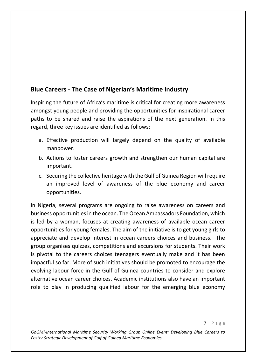## **Blue Careers - The Case of Nigerian's Maritime Industry**

Inspiring the future of Africa's maritime is critical for creating more awareness amongst young people and providing the opportunities for inspirational career paths to be shared and raise the aspirations of the next generation. In this regard, three key issues are identified as follows:

- a. Effective production will largely depend on the quality of available manpower.
- b. Actions to foster careers growth and strengthen our human capital are important.
- c. Securing the collective heritage with the Gulf of Guinea Region will require an improved level of awareness of the blue economy and career opportunities.

In Nigeria, several programs are ongoing to raise awareness on careers and business opportunities in the ocean. The Ocean Ambassadors Foundation, which is led by a woman, focuses at creating awareness of available ocean career opportunities for young females. The aim of the initiative is to get young girls to appreciate and develop interest in ocean careers choices and business. The group organises quizzes, competitions and excursions for students. Their work is pivotal to the careers choices teenagers eventually make and it has been impactful so far. More of such initiatives should be promoted to encourage the evolving labour force in the Gulf of Guinea countries to consider and explore alternative ocean career choices. Academic institutions also have an important role to play in producing qualified labour for the emerging blue economy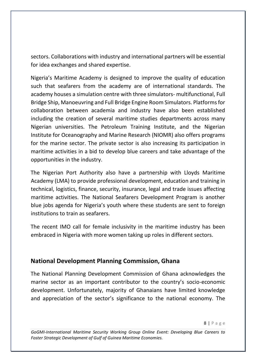sectors. Collaborations with industry and international partners will be essential for idea exchanges and shared expertise.

Nigeria's Maritime Academy is designed to improve the quality of education such that seafarers from the academy are of international standards. The academy houses a simulation centre with three simulators- multifunctional, Full Bridge Ship, Manoeuvring and Full Bridge Engine Room Simulators. Platforms for collaboration between academia and industry have also been established including the creation of several maritime studies departments across many Nigerian universities. The Petroleum Training Institute, and the Nigerian Institute for Oceanography and Marine Research (NIOMR) also offers programs for the marine sector. The private sector is also increasing its participation in maritime activities in a bid to develop blue careers and take advantage of the opportunities in the industry.

The Nigerian Port Authority also have a partnership with Lloyds Maritime Academy (LMA) to provide professional development, education and training in technical, logistics, finance, security, insurance, legal and trade issues affecting maritime activities. The National Seafarers Development Program is another blue jobs agenda for Nigeria's youth where these students are sent to foreign institutions to train as seafarers.

The recent IMO call for female inclusivity in the maritime industry has been embraced in Nigeria with more women taking up roles in different sectors.

#### **National Development Planning Commission, Ghana**

The National Planning Development Commission of Ghana acknowledges the marine sector as an important contributor to the country's socio-economic development. Unfortunately, majority of Ghanaians have limited knowledge and appreciation of the sector's significance to the national economy. The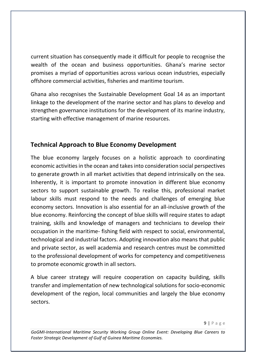current situation has consequently made it difficult for people to recognise the wealth of the ocean and business opportunities. Ghana's marine sector promises a myriad of opportunities across various ocean industries, especially offshore commercial activities, fisheries and maritime tourism.

Ghana also recognises the Sustainable Development Goal 14 as an important linkage to the development of the marine sector and has plans to develop and strengthen governance institutions for the development of its marine industry, starting with effective management of marine resources.

## **Technical Approach to Blue Economy Development**

The blue economy largely focuses on a holistic approach to coordinating economic activities in the ocean and takes into consideration social perspectives to generate growth in all market activities that depend intrinsically on the sea. Inherently, it is important to promote innovation in different blue economy sectors to support sustainable growth. To realise this, professional market labour skills must respond to the needs and challenges of emerging blue economy sectors. Innovation is also essential for an all-inclusive growth of the blue economy. Reinforcing the concept of blue skills will require states to adapt training, skills and knowledge of managers and technicians to develop their occupation in the maritime- fishing field with respect to social, environmental, technological and industrial factors. Adopting innovation also means that public and private sector, as well academia and research centres must be committed to the professional development of works for competency and competitiveness to promote economic growth in all sectors.

A blue career strategy will require cooperation on capacity building, skills transfer and implementation of new technological solutions for socio-economic development of the region, local communities and largely the blue economy sectors.